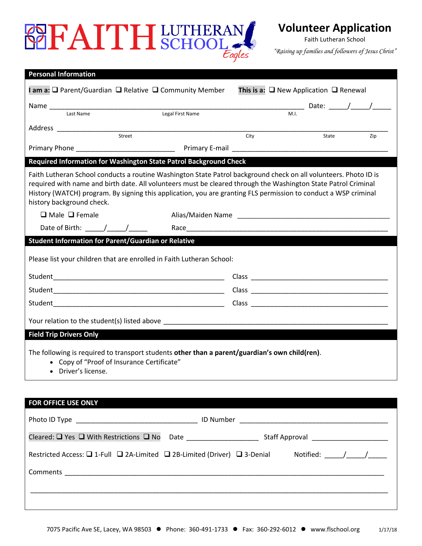# **BEFAITHERAN** Eagles

**Volunteer Application**

Faith Lutheran School

*"Raising up families and followers of Jesus Christ"*

| <b>Personal Information</b>                                                                                                                                                                                                                                                                                                                                                        |                                                                   |                                                        |       |     |  |
|------------------------------------------------------------------------------------------------------------------------------------------------------------------------------------------------------------------------------------------------------------------------------------------------------------------------------------------------------------------------------------|-------------------------------------------------------------------|--------------------------------------------------------|-------|-----|--|
| I am a: $\Box$ Parent/Guardian $\Box$ Relative $\Box$ Community Member                                                                                                                                                                                                                                                                                                             |                                                                   | This is a: $\square$ New Application $\square$ Renewal |       |     |  |
|                                                                                                                                                                                                                                                                                                                                                                                    |                                                                   |                                                        |       |     |  |
| Last Name                                                                                                                                                                                                                                                                                                                                                                          | Legal First Name                                                  |                                                        |       |     |  |
| Street                                                                                                                                                                                                                                                                                                                                                                             |                                                                   | City                                                   | State | Zip |  |
|                                                                                                                                                                                                                                                                                                                                                                                    |                                                                   |                                                        |       |     |  |
|                                                                                                                                                                                                                                                                                                                                                                                    | Required Information for Washington State Patrol Background Check |                                                        |       |     |  |
| Faith Lutheran School conducts a routine Washington State Patrol background check on all volunteers. Photo ID is<br>required with name and birth date. All volunteers must be cleared through the Washington State Patrol Criminal<br>History (WATCH) program. By signing this application, you are granting FLS permission to conduct a WSP criminal<br>history background check. |                                                                   |                                                        |       |     |  |
| $\Box$ Male $\Box$ Female                                                                                                                                                                                                                                                                                                                                                          |                                                                   |                                                        |       |     |  |
| Date of Birth: $\frac{1}{\sqrt{1-\frac{1}{2}}}$                                                                                                                                                                                                                                                                                                                                    |                                                                   |                                                        |       |     |  |
| <b>Student Information for Parent/Guardian or Relative</b>                                                                                                                                                                                                                                                                                                                         |                                                                   |                                                        |       |     |  |
| Please list your children that are enrolled in Faith Lutheran School:                                                                                                                                                                                                                                                                                                              |                                                                   |                                                        |       |     |  |
|                                                                                                                                                                                                                                                                                                                                                                                    |                                                                   |                                                        |       |     |  |
|                                                                                                                                                                                                                                                                                                                                                                                    |                                                                   |                                                        |       |     |  |
|                                                                                                                                                                                                                                                                                                                                                                                    |                                                                   |                                                        |       |     |  |
|                                                                                                                                                                                                                                                                                                                                                                                    |                                                                   |                                                        |       |     |  |
| <b>Field Trip Drivers Only</b>                                                                                                                                                                                                                                                                                                                                                     |                                                                   |                                                        |       |     |  |
| The following is required to transport students other than a parent/guardian's own child(ren).<br>• Copy of "Proof of Insurance Certificate"<br>• Driver's license.                                                                                                                                                                                                                |                                                                   |                                                        |       |     |  |
|                                                                                                                                                                                                                                                                                                                                                                                    |                                                                   |                                                        |       |     |  |

### **FOR OFFICE USE ONLY**

| Cleared: $\Box$ Yes $\Box$ With Restrictions $\Box$ No Date ___________________________       |  | Staff Approval _____________________ |
|-----------------------------------------------------------------------------------------------|--|--------------------------------------|
| Restricted Access: $\Box$ 1-Full $\Box$ 2A-Limited $\Box$ 2B-Limited (Driver) $\Box$ 3-Denial |  | Notified: $/$ /                      |
|                                                                                               |  |                                      |
|                                                                                               |  |                                      |
|                                                                                               |  |                                      |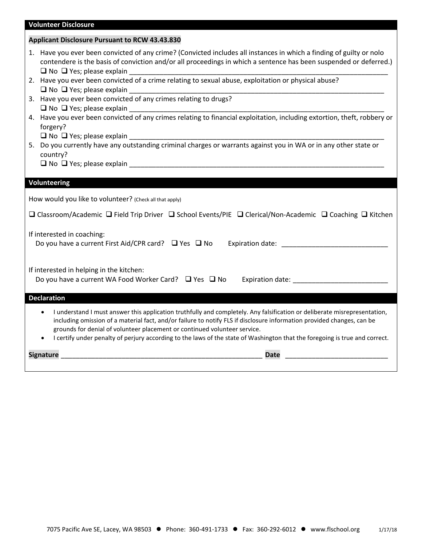## **Volunteer Disclosure**

|                                                                                                                                         | <b>Applicant Disclosure Pursuant to RCW 43.43.830</b>                                                                                                                                                                                                                                                                                                                                                                                                           |  |  |
|-----------------------------------------------------------------------------------------------------------------------------------------|-----------------------------------------------------------------------------------------------------------------------------------------------------------------------------------------------------------------------------------------------------------------------------------------------------------------------------------------------------------------------------------------------------------------------------------------------------------------|--|--|
|                                                                                                                                         | 1. Have you ever been convicted of any crime? (Convicted includes all instances in which a finding of guilty or nolo<br>contendere is the basis of conviction and/or all proceedings in which a sentence has been suspended or deferred.)<br>$\Box$ No $\Box$ Yes; please explain                                                                                                                                                                               |  |  |
|                                                                                                                                         | 2. Have you ever been convicted of a crime relating to sexual abuse, exploitation or physical abuse?<br>$\Box$ No $\Box$ Yes; please explain                                                                                                                                                                                                                                                                                                                    |  |  |
|                                                                                                                                         | 3. Have you ever been convicted of any crimes relating to drugs?<br>$\Box$ No $\Box$ Yes; please explain                                                                                                                                                                                                                                                                                                                                                        |  |  |
|                                                                                                                                         | 4. Have you ever been convicted of any crimes relating to financial exploitation, including extortion, theft, robbery or<br>forgery?                                                                                                                                                                                                                                                                                                                            |  |  |
|                                                                                                                                         | country?                                                                                                                                                                                                                                                                                                                                                                                                                                                        |  |  |
|                                                                                                                                         |                                                                                                                                                                                                                                                                                                                                                                                                                                                                 |  |  |
|                                                                                                                                         | Volunteering                                                                                                                                                                                                                                                                                                                                                                                                                                                    |  |  |
|                                                                                                                                         | How would you like to volunteer? (Check all that apply)                                                                                                                                                                                                                                                                                                                                                                                                         |  |  |
| $\Box$ Classroom/Academic $\Box$ Field Trip Driver $\Box$ School Events/PIE $\Box$ Clerical/Non-Academic $\Box$ Coaching $\Box$ Kitchen |                                                                                                                                                                                                                                                                                                                                                                                                                                                                 |  |  |
|                                                                                                                                         | If interested in coaching:<br>Do you have a current First Aid/CPR card? $\Box$ Yes $\Box$ No Expiration date:                                                                                                                                                                                                                                                                                                                                                   |  |  |
|                                                                                                                                         | If interested in helping in the kitchen:<br>Do you have a current WA Food Worker Card? □ Yes □ No Expiration date: ____________________________                                                                                                                                                                                                                                                                                                                 |  |  |
|                                                                                                                                         | <b>Declaration</b>                                                                                                                                                                                                                                                                                                                                                                                                                                              |  |  |
|                                                                                                                                         | I understand I must answer this application truthfully and completely. Any falsification or deliberate misrepresentation,<br>including omission of a material fact, and/or failure to notify FLS if disclosure information provided changes, can be<br>grounds for denial of volunteer placement or continued volunteer service.<br>I certify under penalty of perjury according to the laws of the state of Washington that the foregoing is true and correct. |  |  |
|                                                                                                                                         | <b>Signature</b><br><b>Date</b>                                                                                                                                                                                                                                                                                                                                                                                                                                 |  |  |